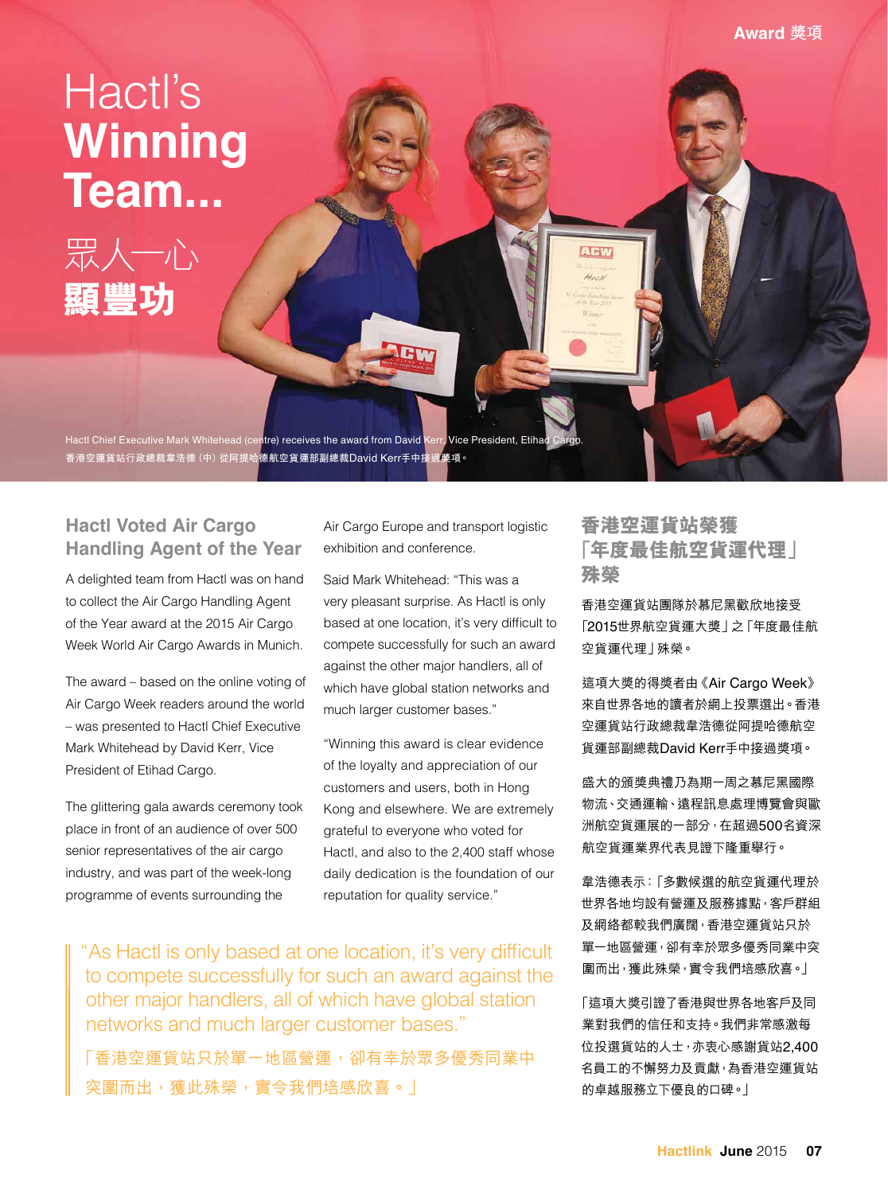# Hactl's **Winning Team...**



Hactl Chief Executive Mark Whitehead (centre) receives the award from David Kerr, Vice President, Etih **香港空運貨站行政總裁韋浩德(中)從阿提哈德航空貨運部副總裁**David Kerr**手中接過獎項。**

## **Hactl Voted Air Cargo Handling Agent of the Year**

A delighted team from Hactl was on hand to collect the Air Cargo Handling Agent of the Year award at the 2015 Air Cargo Week World Air Cargo Awards in Munich.

The award – based on the online voting of Air Cargo Week readers around the world – was presented to Hactl Chief Executive Mark Whitehead by David Kerr, Vice President of Etihad Cargo.

The glittering gala awards ceremony took place in front of an audience of over 500 senior representatives of the air cargo industry, and was part of the week-long programme of events surrounding the

Air Cargo Europe and transport logistic exhibition and conference.

Said Mark Whitehead: "This was a very pleasant surprise. As Hactl is only based at one location, it's very difficult to compete successfully for such an award against the other major handlers, all of which have global station networks and much larger customer bases."

"Winning this award is clear evidence of the loyalty and appreciation of our customers and users, both in Hong Kong and elsewhere. We are extremely grateful to everyone who voted for Hactl, and also to the 2,400 staff whose daily dedication is the foundation of our reputation for quality service."

"As Hactl is only based at one location, it's very difficult to compete successfully for such an award against the other major handlers, all of which have global station networks and much larger customer bases."

「香港空運貨站只於單一地區營運,卻有幸於眾多優秀同業中 突圍而出,獲此殊榮,實令我們培感欣喜。」

# **香港空運貨站榮獲 「年度最佳航空貨運代理」 殊榮**

**Award 獎項**

香港空運貨站團隊於慕尼黑歡欣地接受 「2015世界航空貨運大獎」之「年度最佳航 空貨運代理」殊榮。

這項大獎的得獎者由《Air Cargo Week》 來自世界各地的讀者於網上投票選出。香港 空運貨站行政總裁韋浩德從阿提哈德航空 貨運部副總裁David Kerr手中接過獎項。

盛大的頒獎典禮乃為期一周之慕尼黑國際 物流、交通運輸、遠程訊息處理博覽會與歐 洲航空貨運展的一部分,在超過500名資深 航空貨運業界代表見證下隆重舉行。

韋浩德表示:「多數候選的航空貨運代理於 世界各地均設有營運及服務據點,客戶群組 及網絡都較我們廣闊,香港空運貨站只於 單一地區營運,卻有幸於眾多優秀同業中突 圍而出,獲此殊榮,實令我們培感欣喜。」

「這項大獎引證了香港與世界各地客戶及同 業對我們的信任和支持。我們非常感激每 位投選貨站的人士,亦衷心感謝貨站2,400 名員工的不懈努力及貢獻,為香港空運貨站 的卓越服務立下優良的口碑。」